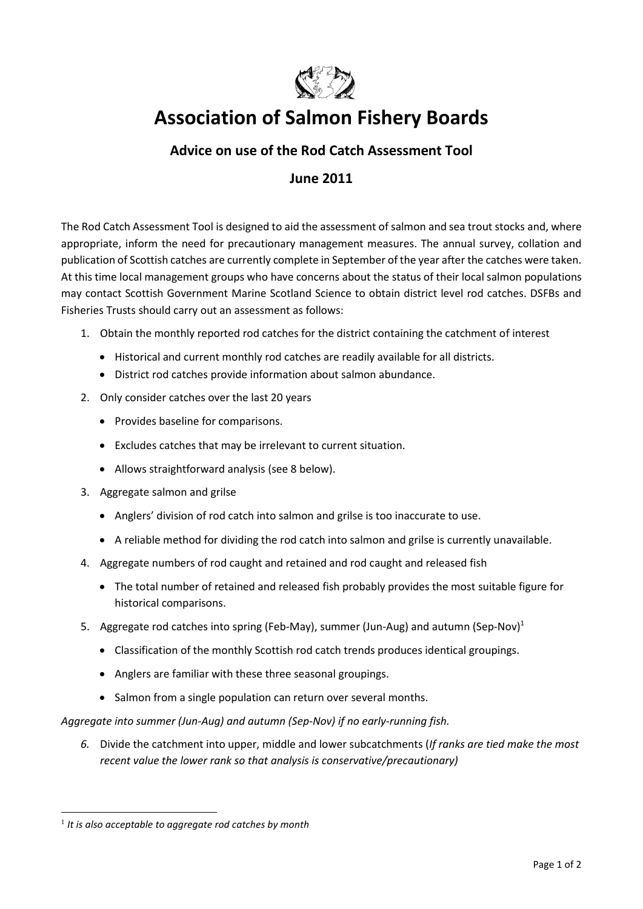

# **Association of Salmon Fishery Boards**

## **Advice on use of the Rod Catch Assessment Tool**

## **June 2011**

The Rod Catch Assessment Tool is designed to aid the assessment of salmon and sea trout stocks and, where appropriate, inform the need for precautionary management measures. The annual survey, collation and publication of Scottish catches are currently complete in September of the year after the catches were taken. At this time local management groups who have concerns about the status of their local salmon populations may contact Scottish Government Marine Scotland Science to obtain district level rod catches. DSFBs and Fisheries Trusts should carry out an assessment as follows:

- 1. Obtain the monthly reported rod catches for the district containing the catchment of interest
	- Historical and current monthly rod catches are readily available for all districts.
	- District rod catches provide information about salmon abundance.
- 2. Only consider catches over the last 20 years
	- Provides baseline for comparisons.
	- Excludes catches that may be irrelevant to current situation.
	- Allows straightforward analysis (see 8 below).
- 3. Aggregate salmon and grilse
	- Anglers' division of rod catch into salmon and grilse is too inaccurate to use.
	- A reliable method for dividing the rod catch into salmon and grilse is currently unavailable.
- 4. Aggregate numbers of rod caught and retained and rod caught and released fish
	- The total number of retained and released fish probably provides the most suitable figure for historical comparisons.
- 5. Aggregate rod catches into spring (Feb-May), summer (Jun-Aug) and autumn (Sep-Nov)<sup>1</sup>
	- Classification of the monthly Scottish rod catch trends produces identical groupings.
	- Anglers are familiar with these three seasonal groupings.
	- Salmon from a single population can return over several months.

*Aggregate into summer (Jun-Aug) and autumn (Sep-Nov) if no early-running fish.*

*6.* Divide the catchment into upper, middle and lower subcatchments (*If ranks are tied make the most recent value the lower rank so that analysis is conservative/precautionary)*

**<sup>.</sup>** 1 *It is also acceptable to aggregate rod catches by month*